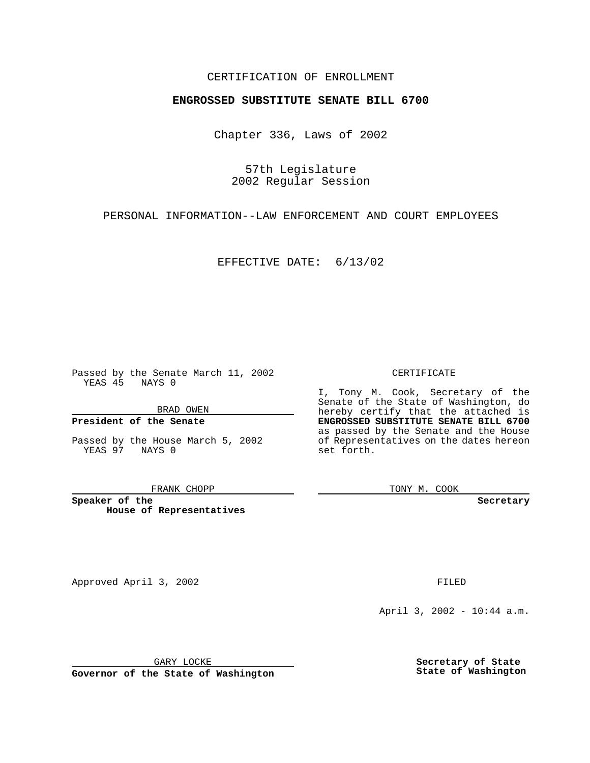## CERTIFICATION OF ENROLLMENT

# **ENGROSSED SUBSTITUTE SENATE BILL 6700**

Chapter 336, Laws of 2002

57th Legislature 2002 Regular Session

PERSONAL INFORMATION--LAW ENFORCEMENT AND COURT EMPLOYEES

EFFECTIVE DATE: 6/13/02

Passed by the Senate March 11, 2002 YEAS 45 NAYS 0

BRAD OWEN

### **President of the Senate**

Passed by the House March 5, 2002 YEAS 97 NAYS 0

#### FRANK CHOPP

**Speaker of the House of Representatives** CERTIFICATE

I, Tony M. Cook, Secretary of the Senate of the State of Washington, do hereby certify that the attached is **ENGROSSED SUBSTITUTE SENATE BILL 6700** as passed by the Senate and the House of Representatives on the dates hereon set forth.

TONY M. COOK

**Secretary**

Approved April 3, 2002 **FILED** 

April 3, 2002 - 10:44 a.m.

GARY LOCKE

**Governor of the State of Washington**

**Secretary of State State of Washington**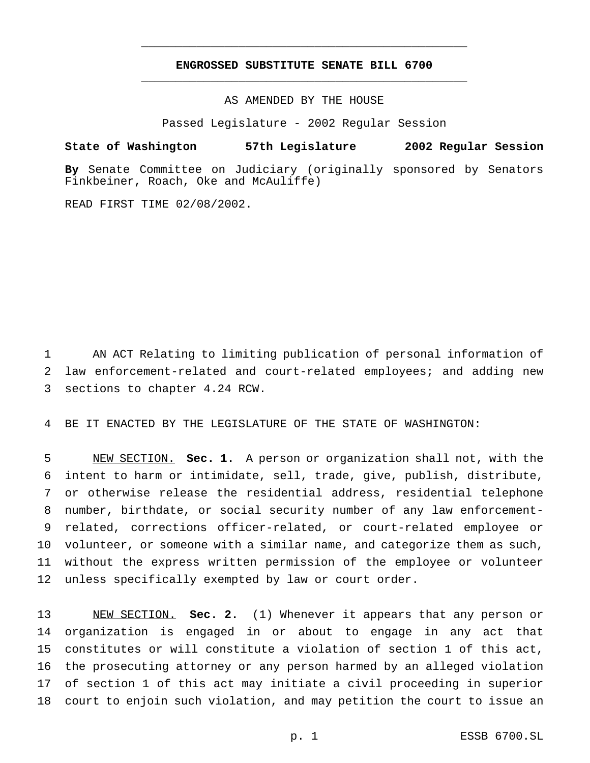## **ENGROSSED SUBSTITUTE SENATE BILL 6700** \_\_\_\_\_\_\_\_\_\_\_\_\_\_\_\_\_\_\_\_\_\_\_\_\_\_\_\_\_\_\_\_\_\_\_\_\_\_\_\_\_\_\_\_\_\_\_

\_\_\_\_\_\_\_\_\_\_\_\_\_\_\_\_\_\_\_\_\_\_\_\_\_\_\_\_\_\_\_\_\_\_\_\_\_\_\_\_\_\_\_\_\_\_\_

AS AMENDED BY THE HOUSE

Passed Legislature - 2002 Regular Session

### **State of Washington 57th Legislature 2002 Regular Session**

**By** Senate Committee on Judiciary (originally sponsored by Senators Finkbeiner, Roach, Oke and McAuliffe)

READ FIRST TIME 02/08/2002.

 AN ACT Relating to limiting publication of personal information of law enforcement-related and court-related employees; and adding new sections to chapter 4.24 RCW.

BE IT ENACTED BY THE LEGISLATURE OF THE STATE OF WASHINGTON:

 NEW SECTION. **Sec. 1.** A person or organization shall not, with the intent to harm or intimidate, sell, trade, give, publish, distribute, or otherwise release the residential address, residential telephone number, birthdate, or social security number of any law enforcement- related, corrections officer-related, or court-related employee or volunteer, or someone with a similar name, and categorize them as such, without the express written permission of the employee or volunteer unless specifically exempted by law or court order.

 NEW SECTION. **Sec. 2.** (1) Whenever it appears that any person or organization is engaged in or about to engage in any act that constitutes or will constitute a violation of section 1 of this act, the prosecuting attorney or any person harmed by an alleged violation of section 1 of this act may initiate a civil proceeding in superior court to enjoin such violation, and may petition the court to issue an